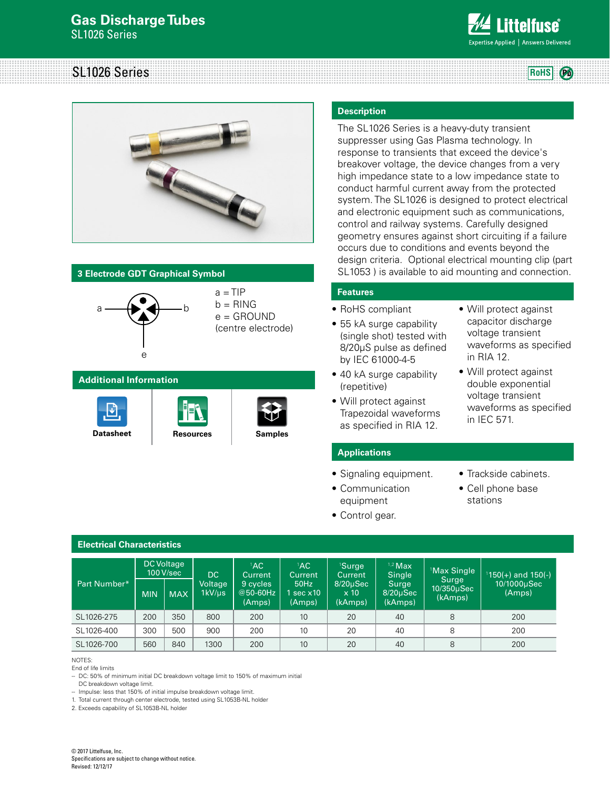# **Gas Discharge Tubes** SL1026 Series



# SL1026 Series **RoHS**  $(P_0)$



## **3 Electrode GDT Graphical Symbol**



#### **Additional Information**







#### **Description**

The SL1026 Series is a heavy-duty transient suppresser using Gas Plasma technology. In response to transients that exceed the device's breakover voltage, the device changes from a very high impedance state to a low impedance state to conduct harmful current away from the protected system. The SL1026 is designed to protect electrical and electronic equipment such as communications, control and railway systems. Carefully designed geometry ensures against short circuiting if a failure occurs due to conditions and events beyond the design criteria. Optional electrical mounting clip (part SL1053 ) is available to aid mounting and connection.

#### **Features**

- RoHS compliant
- 55 kA surge capability (single shot) tested with 8/20μS pulse as defined by IEC 61000-4-5
- 40 kA surge capability (repetitive)
- Will protect against Trapezoidal waveforms as specified in RIA 12.
- Will protect against capacitor discharge voltage transient waveforms as specified in RIA 12.
- Will protect against double exponential voltage transient waveforms as specified in IEC 571.

#### **Applications**

• Communication

- Signaling equipment.
- Trackside cabinets.
- Cell phone base stations
- equipment • Control gear.

## **Electrical Characteristics**

| <b>Part Number*</b> | <b>DC Voltage</b><br>100 V/sec |            | DC.                     | ${}^{1}AC$<br><b>Current</b>     | $^1$ AC<br>Current            | <sup>1</sup> Surge<br>Current           | $1,2$ Max<br>Single               | <sup>1</sup> Max Single        | $150(+)$ and 150(-)   |
|---------------------|--------------------------------|------------|-------------------------|----------------------------------|-------------------------------|-----------------------------------------|-----------------------------------|--------------------------------|-----------------------|
|                     | <b>MIN</b>                     | <b>MAX</b> | Voltage<br>$1kV/ \mu s$ | 9 cycles<br>$@50-60Hz$<br>(Amps) | 50Hz<br>1 sec $x10$<br>(Amps) | $8/20\mu$ Sec<br>$\times 10$<br>(kAmps) | Surge<br>$8/20\mu$ Sec<br>(kAmps) | Surge<br>10/350µSec<br>(kAmps) | 10/1000µSec<br>(Amps) |
| SL1026-275          | 200                            | 350        | 800                     | 200                              | 10                            | 20                                      | 40                                | 8                              | 200                   |
| SL1026-400          | 300                            | 500        | 900                     | 200                              | 10                            | 20                                      | 40                                | 8                              | 200                   |
| SL1026-700          | 560                            | 840        | 1300                    | 200                              | 10 <sup>°</sup>               | 20                                      | 40                                | 8                              | 200                   |

NOTES:

End of life limits

-- DC: 50% of minimum initial DC breakdown voltage limit to 150% of maximum initial

DC breakdown voltage limit.

-- Impulse: less that 150% of initial impulse breakdown voltage limit.

1. Total current through center electrode, tested using SL1053B-NL holder

2. Exceeds capability of SL1053B-NL holder